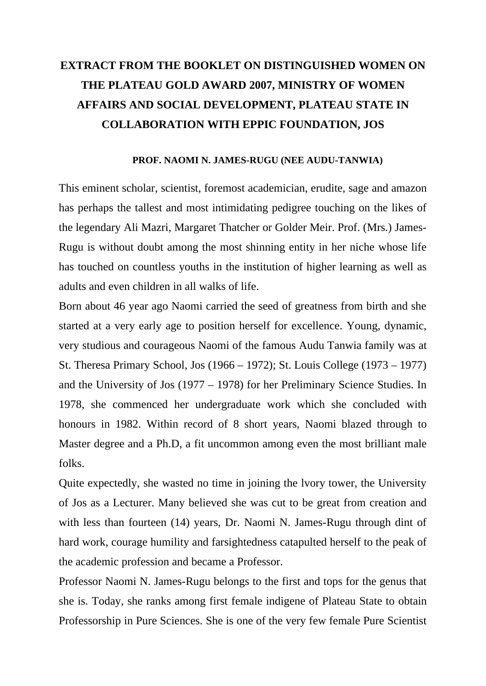## **EXTRACT FROM THE BOOKLET ON DISTINGUISHED WOMEN ON THE PLATEAU GOLD AWARD 2007, MINISTRY OF WOMEN AFFAIRS AND SOCIAL DEVELOPMENT, PLATEAU STATE IN COLLABORATION WITH EPPIC FOUNDATION, JOS**

## **PROF. NAOMI N. JAMES-RUGU (NEE AUDU-TANWIA)**

This eminent scholar, scientist, foremost academician, erudite, sage and amazon has perhaps the tallest and most intimidating pedigree touching on the likes of the legendary Ali Mazri, Margaret Thatcher or Golder Meir. Prof. (Mrs.) James-Rugu is without doubt among the most shinning entity in her niche whose life has touched on countless youths in the institution of higher learning as well as adults and even children in all walks of life.

Born about 46 year ago Naomi carried the seed of greatness from birth and she started at a very early age to position herself for excellence. Young, dynamic, very studious and courageous Naomi of the famous Audu Tanwia family was at St. Theresa Primary School, Jos (1966 – 1972); St. Louis College (1973 – 1977) and the University of Jos (1977 – 1978) for her Preliminary Science Studies. In 1978, she commenced her undergraduate work which she concluded with honours in 1982. Within record of 8 short years, Naomi blazed through to Master degree and a Ph.D, a fit uncommon among even the most brilliant male folks.

Quite expectedly, she wasted no time in joining the lvory tower, the University of Jos as a Lecturer. Many believed she was cut to be great from creation and with less than fourteen (14) years, Dr. Naomi N. James-Rugu through dint of hard work, courage humility and farsightedness catapulted herself to the peak of the academic profession and became a Professor.

Professor Naomi N. James-Rugu belongs to the first and tops for the genus that she is. Today, she ranks among first female indigene of Plateau State to obtain Professorship in Pure Sciences. She is one of the very few female Pure Scientist